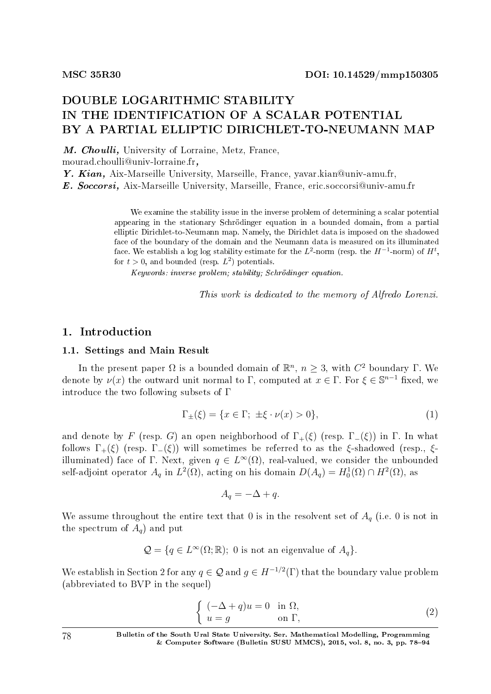# DOUBLE LOGARITHMIC STABILITY IN THE IDENTIFICATION OF A SCALAR POTENTIAL BY A PARTIAL ELLIPTIC DIRICHLET-TO-NEUMANN MAP

M. Choulli, University of Lorraine, Metz, France,

mourad.choulli@univ-lorraine.fr,

Y. Kian, Aix-Marseille University, Marseille, France, yavar.kian@univ-amu.fr,

E. Soccorsi, Aix-Marseille University, Marseille, France, eric.soccorsi@univ-amu.fr

We examine the stability issue in the inverse problem of determining a scalar potential appearing in the stationary Schrodinger equation in a bounded domain, from a partial elliptic Dirichlet-to-Neumann map. Namely, the Dirichlet data is imposed on the shadowed face of the boundary of the domain and the Neumann data is measured on its illuminated face. We establish a log log stability estimate for the  $L^2$ -norm (resp. the  $H^{-1}$ -norm) of  $H^t,$ for  $t > 0$ , and bounded (resp.  $L^2$ ) potentials.

Keywords: inverse problem; stability; Schrödinger equation.

This work is dedicated to the memory of Alfredo Lorenzi.

### 1. Introduction

#### 1.1. Settings and Main Result

In the present paper  $Ω$  is a bounded domain of  $\mathbb{R}^n$ ,  $n \geq 3$ , with  $C^2$  boundary  $Γ$ . We denote by  $\nu(x)$  the outward unit normal to  $\Gamma$ , computed at  $x \in \Gamma$ . For  $\xi \in \mathbb{S}^{n-1}$  fixed, we introduce the two following subsets of Γ

$$
\Gamma_{\pm}(\xi) = \{x \in \Gamma; \ \pm \xi \cdot \nu(x) > 0\},\tag{1}
$$

and denote by *F* (resp. *G*) an open neighborhood of  $\Gamma_+(\xi)$  (resp.  $\Gamma_-(\xi)$ ) in  $\Gamma$ . In what follows  $\Gamma_+(\xi)$  (resp.  $\Gamma_-(\xi)$ ) will sometimes be referred to as the *ξ*-shadowed (resp., *ξ*illuminated) face of  $\Gamma$ . Next, given  $q \in L^{\infty}(\Omega),$  real-valued, we consider the unbounded self-adjoint operator  $A_q$  in  $L^2(\Omega)$ , acting on his domain  $D(A_q) = H_0^1(\Omega) \cap H^2(\Omega)$ , as

 $A_q = -\Delta + q$ .

We assume throughout the entire text that 0 is in the resolvent set of  $A_q$  (i.e. 0 is not in the spectrum of  $A_q$  and put

 $\mathcal{Q} = \{q \in L^{\infty}(\Omega;\mathbb{R}); 0 \text{ is not an eigenvalue of } A_q\}.$ 

We establish in Section 2 for any  $q \in \mathcal{Q}$  and  $g \in H^{-1/2}(\Gamma)$  that the boundary value problem (abbreviated to BVP in the sequel)

$$
\begin{cases}\n(-\Delta + q)u = 0 & \text{in } \Omega, \\
u = g & \text{on } \Gamma,\n\end{cases}
$$
\n(2)

78 Bulletin of the South Ural State University. Ser. Mathematical Modelling, Programming & Computer Software (Bulletin SUSU MMCS), 2015, vol. 8, no. 3, pp.  $78-94$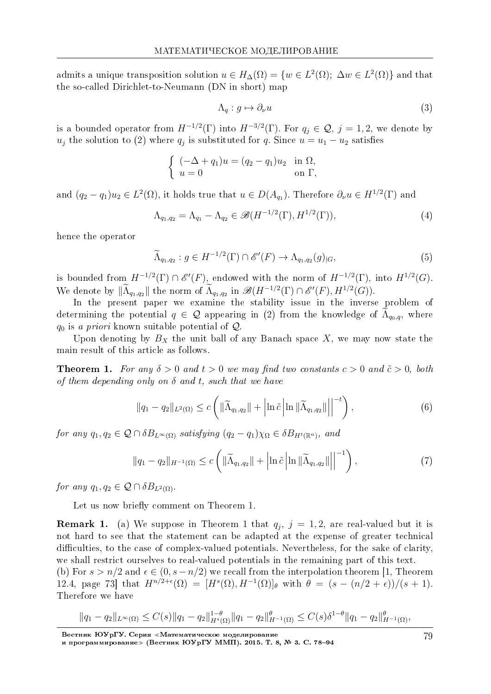admits a unique transposition solution  $u \in H_{\Delta}(\Omega) = \{w \in L^2(\Omega); \Delta w \in L^2(\Omega)\}\)$  and that the so-called Dirichlet-to-Neumann (DN in short) map

$$
\Lambda_q: g \mapsto \partial_\nu u \tag{3}
$$

is a bounded operator from  $H^{-1/2}(\Gamma)$  into  $H^{-3/2}(\Gamma)$ . For  $q_j \in \mathcal{Q}, j = 1, 2$ , we denote by  $u_j$  the solution to (2) where  $q_j$  is substituted for *q*. Since  $u = u_1 - u_2$  satisfies

$$
\begin{cases}\n(-\Delta + q_1)u = (q_2 - q_1)u_2 & \text{in } \Omega, \\
u = 0 & \text{on } \Gamma,\n\end{cases}
$$

and  $(q_2 - q_1)u_2 \in L^2(\Omega)$ , it holds true that  $u \in D(A_{q_1})$ . Therefore  $\partial_\nu u \in H^{1/2}(\Gamma)$  and

$$
\Lambda_{q_1,q_2} = \Lambda_{q_1} - \Lambda_{q_2} \in \mathscr{B}(H^{-1/2}(\Gamma), H^{1/2}(\Gamma)),
$$
\n(4)

hence the operator

$$
\widetilde{\Lambda}_{q_1,q_2} : g \in H^{-1/2}(\Gamma) \cap \mathscr{E}'(F) \to \Lambda_{q_1,q_2}(g)_{|G},\tag{5}
$$

is bounded from  $H^{-1/2}(\Gamma) \cap \mathscr{E}'(F)$ , endowed with the norm of  $H^{-1/2}(\Gamma)$ , into  $H^{1/2}(G)$ . We denote by  $\|\tilde{\Lambda}_{q_1,q_2}\|$  the norm of  $\tilde{\Lambda}_{q_1,q_2}$  in  $\mathscr{B}(H^{-1/2}(\Gamma) \cap \mathscr{E}'(F), H^{1/2}(G)).$ 

In the present paper we examine the stability issue in the inverse problem of determining the potential  $q \in \mathcal{Q}$  appearing in (2) from the knowledge of  $\Lambda_{q_0,q}$ , where *q*<sup>0</sup> is a priori known suitable potential of *Q*.

Upon denoting by  $B_X$  the unit ball of any Banach space  $X$ , we may now state the main result of this article as follows.

**Theorem 1.** For any  $\delta > 0$  and  $t > 0$  we may find two constants  $c > 0$  and  $\tilde{c} > 0$ , both of them depending only on *δ* and *t*, such that we have

$$
\|q_1 - q_2\|_{L^2(\Omega)} \le c \left( \|\widetilde{\Lambda}_{q_1, q_2}\| + \left| \ln \tilde{c} \left| \ln \|\widetilde{\Lambda}_{q_1, q_2}\| \right| \right|^{-t} \right),\tag{6}
$$

 $for any q_1, q_2 \in \mathcal{Q} \cap \delta B_{L^{\infty}(\Omega)}$  satisfying  $(q_2 - q_1)\chi_{\Omega} \in \delta B_{H^t(\mathbb{R}^n)}$ , and

$$
||q_1 - q_2||_{H^{-1}(\Omega)} \le c \left( ||\widetilde{\Lambda}_{q_1, q_2}|| + \left| \ln \tilde{c} \left| \ln \left| \widetilde{\Lambda}_{q_1, q_2}|| \right| \right|^{-1} \right), \tag{7}
$$

*for any*  $q_1, q_2 \in \mathcal{Q} \cap \delta B_{L^2(\Omega)}$ .

Let us now briefly comment on Theorem 1.

**Remark 1.** (a) We suppose in Theorem 1 that  $q_j$ ,  $j = 1, 2$ , are real-valued but it is not hard to see that the statement can be adapted at the expense of greater technical difficulties, to the case of complex-valued potentials. Nevertheless, for the sake of clarity, we shall restrict ourselves to real-valued potentials in the remaining part of this text.

(b) For  $s > n/2$  and  $\epsilon \in (0, s - n/2)$  we recall from the interpolation theorem [1, Theorem 12.4, page 73] that  $H^{n/2+\epsilon}(\Omega) = [H^s(\Omega), H^{-1}(\Omega)]_\theta$  with  $\theta = (s - (n/2 + \epsilon))/(s + 1)$ . Therefore we have

$$
||q_1 - q_2||_{L^{\infty}(\Omega)} \leq C(s)||q_1 - q_2||_{H^s(\Omega)}^{1-\theta} ||q_1 - q_2||_{H^{-1}(\Omega)}^{\theta} \leq C(s)\delta^{1-\theta} ||q_1 - q_2||_{H^{-1}(\Omega)}^{\theta},
$$

Вестник ЮУрГУ. Серия «Математическое моделирование и программирование≫ (Вестник ЮУрГУ ММП). 2015. Т. 8, № 3. C. 78–94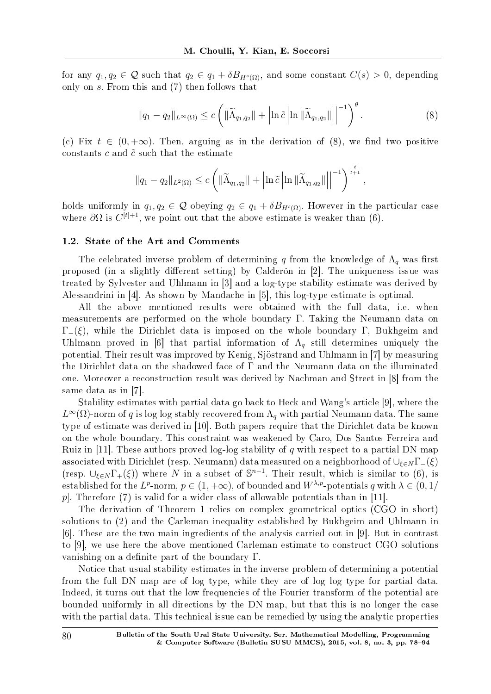for any  $q_1, q_2 \in \mathcal{Q}$  such that  $q_2 \in q_1 + \delta B_{H^s(\Omega)}$ , and some constant  $C(s) > 0$ , depending only on *s*. From this and (7) then follows that

$$
||q_1 - q_2||_{L^{\infty}(\Omega)} \leq c \left( ||\widetilde{\Lambda}_{q_1, q_2}|| + \left| \ln \tilde{c} \left| \ln ||\widetilde{\Lambda}_{q_1, q_2}|| \right| \right|^{-1} \right)^{\theta}.
$$
 (8)

(c) Fix  $t \in (0, +\infty)$ . Then, arguing as in the derivation of (8), we find two positive constants  $c$  and  $\tilde{c}$  such that the estimate

$$
\|q_1 - q_2\|_{L^2(\Omega)} \le c \left( \|\widetilde{\Lambda}_{q_1,q_2}\| + \left| \ln \tilde{c} \left| \ln \|\widetilde{\Lambda}_{q_1,q_2}\| \right| \right|^{-1} \right)^{\frac{t}{t+1}},
$$

holds uniformly in  $q_1, q_2 \in \mathcal{Q}$  obeying  $q_2 \in q_1 + \delta B_{H^t(\Omega)}$ . However in the particular case where  $\partial\Omega$  is  $C^{[t]+1}$ , we point out that the above estimate is weaker than (6).

#### 1.2. State of the Art and Comments

The celebrated inverse problem of determining *q* from the knowledge of  $\Lambda_q$  was first proposed (in a slightly different setting) by Calderón in [2]. The uniqueness issue was treated by Sylvester and Uhlmann in [3] and a log-type stability estimate was derived by Alessandrini in [4]. As shown by Mandache in [5], this log-type estimate is optimal.

All the above mentioned results were obtained with the full data, i.e. when measurements are performed on the whole boundary Γ. Taking the Neumann data on Γ*−*(*ξ*), while the Dirichlet data is imposed on the whole boundary Γ, Bukhgeim and Uhlmann proved in [6] that partial information of  $\Lambda_q$  still determines uniquely the potential. Their result was improved by Kenig, Sjostrand and Uhlmann in [7] by measuring the Dirichlet data on the shadowed face of Γ and the Neumann data on the illuminated one. Moreover a reconstruction result was derived by Nachman and Street in [8] from the same data as in [7].

Stability estimates with partial data go back to Heck and Wang's article [9], where the  $L^\infty(\Omega)$ -norm of  $q$  is log log stably recovered from  $\Lambda_q$  with partial Neumann data. The same type of estimate was derived in [10]. Both papers require that the Dirichlet data be known on the whole boundary. This constraint was weakened by Caro, Dos Santos Ferreira and Ruiz in [11]. These authors proved log-log stability of *q* with respect to a partial DN map associated with Dirichlet (resp. Neumann) data measured on a neighborhood of *∪<sup>ξ</sup>∈<sup>N</sup>* Γ*−*(*ξ*) (resp.  $\cup_{\xi \in N} \Gamma_+(\xi)$ ) where *N* in a subset of  $\mathbb{S}^{n-1}$ . Their result, which is similar to (6), is established for the *L<sup>p</sup>*-norm,  $p \in (1, +\infty)$ , of bounded and  $W^{\lambda, p}$ -potentials *q* with  $\lambda \in (0, 1/2)$ *p*]. Therefore (7) is valid for a wider class of allowable potentials than in [11].

The derivation of Theorem 1 relies on complex geometrical optics (CGO in short) solutions to (2) and the Carleman inequality established by Bukhgeim and Uhlmann in [6]. These are the two main ingredients of the analysis carried out in [9]. But in contrast to [9], we use here the above mentioned Carleman estimate to construct CGO solutions vanishing on a definite part of the boundary  $\Gamma$ .

Notice that usual stability estimates in the inverse problem of determining a potential from the full DN map are of log type, while they are of log log type for partial data. Indeed, it turns out that the low frequencies of the Fourier transform of the potential are bounded uniformly in all directions by the DN map, but that this is no longer the case with the partial data. This technical issue can be remedied by using the analytic properties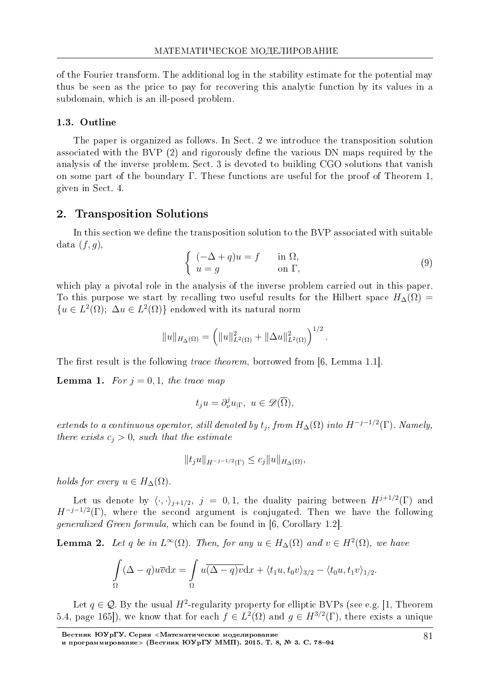of the Fourier transform. The additional log in the stability estimate for the potential may thus be seen as the price to pay for recovering this analytic function by its values in a subdomain, which is an ill-posed problem.

#### 1.3. Outline

The paper is organized as follows. In Sect. 2 we introduce the transposition solution associated with the BVP  $(2)$  and rigorously define the various DN maps required by the analysis of the inverse problem. Sect. 3 is devoted to building CGO solutions that vanish on some part of the boundary Γ. These functions are useful for the proof of Theorem 1, given in Sect. 4.

## 2. Transposition Solutions

In this section we define the transposition solution to the BVP associated with suitable data  $(f, g)$ ,

$$
\begin{cases}\n(-\Delta + q)u = f & \text{in } \Omega, \\
u = g & \text{on } \Gamma,\n\end{cases}
$$
\n(9)

which play a pivotal role in the analysis of the inverse problem carried out in this paper. To this purpose we start by recalling two useful results for the Hilbert space  $H_{\Delta}(\Omega)$  =  ${u \in L^2(\Omega)}$ ;  $\Delta u \in L^2(\Omega)$ } endowed with its natural norm

$$
||u||_{H_{\Delta}(\Omega)} = \left(||u||_{L^2(\Omega)}^2 + ||\Delta u||_{L^2(\Omega)}^2\right)^{1/2}.
$$

The first result is the following *trace theorem*, borrowed from  $[6, \text{Lemma } 1.1].$ 

**Lemma 1.** For  $j = 0, 1$ , the trace map

$$
t_j u = \partial_{\nu}^j u_{|\Gamma}, \ u \in \mathscr{D}(\overline{\Omega}),
$$

extends to a continuous operator, still denoted by  $t_j$ , from  $H_{\Delta}(\Omega)$  into  $H^{-j-1/2}(\Gamma)$ . Namely, there exists  $c_j > 0$ , such that the estimate

$$
||t_j u||_{H^{-j-1/2}(\Gamma)} \leq c_j ||u||_{H_{\Delta}(\Omega)},
$$

*holds for every*  $u \in H_{\Delta}(\Omega)$ .

Let us denote by  $\langle \cdot, \cdot \rangle_{j+1/2}, j = 0, 1$ , the duality pairing between  $H^{j+1/2}(\Gamma)$  and  $H^{-j-1/2}(\Gamma)$ , where the second argument is conjugated. Then we have the following generalized Green formula, which can be found in [6, Corollary 1.2].

**Lemma 2.** Let *q* be in  $L^{\infty}(\Omega)$ . Then, for any  $u \in H_{\Delta}(\Omega)$  and  $v \in H^2(\Omega)$ , we have

$$
\int_{\Omega} (\Delta - q)u\overline{v}dx = \int_{\Omega} u(\overline{\Delta - q)v}dx + \langle t_1u, t_0v \rangle_{3/2} - \langle t_0u, t_1v \rangle_{1/2}.
$$

Let  $q \in \mathcal{Q}$ . By the usual  $H^2$ -regularity property for elliptic BVPs (see e.g. [1, Theorem 5.4, page 165]), we know that for each  $f \in L^2(\Omega)$  and  $g \in H^{3/2}(\Gamma)$ , there exists a unique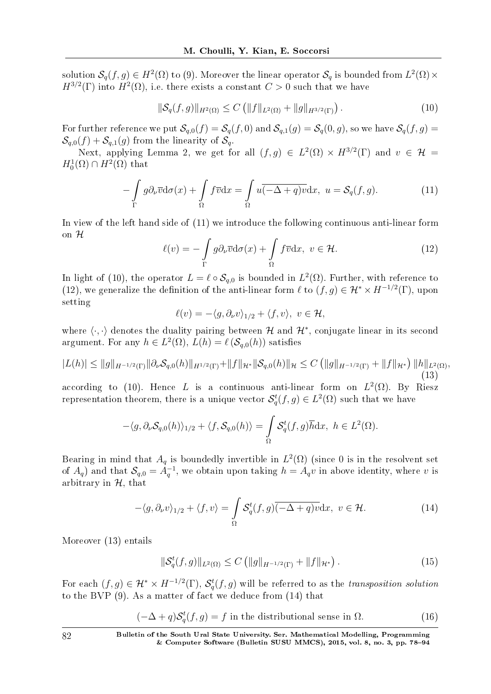solution  $\mathcal{S}_q(f,g)\in H^2(\Omega)$  to (9). Moreover the linear operator  $\mathcal{S}_q$  is bounded from  $L^2(\Omega)\times$  $H^{3/2}(\Gamma)$  into  $H^2(\Omega)$ , i.e. there exists a constant  $C > 0$  such that we have

$$
\|\mathcal{S}_q(f,g)\|_{H^2(\Omega)} \le C \left( \|f\|_{L^2(\Omega)} + \|g\|_{H^{3/2}(\Gamma)} \right). \tag{10}
$$

For further reference we put  $\mathcal{S}_{q,0}(f) = \mathcal{S}_q(f,0)$  and  $\mathcal{S}_{q,1}(g) = \mathcal{S}_q(0,g)$ , so we have  $\mathcal{S}_q(f,g) =$  $\mathcal{S}_{q,0}(f) + \mathcal{S}_{q,1}(g)$  from the linearity of  $\mathcal{S}_{q}$ .

Next, applying Lemma 2, we get for all  $(f, g) \in L^2(\Omega) \times H^{3/2}(\Gamma)$  and  $v \in \mathcal{H}$  $H_0^1(\Omega) \cap H^2(\Omega)$  that

$$
-\int_{\Gamma} g \partial_{\nu} \overline{v} d\sigma(x) + \int_{\Omega} f \overline{v} dx = \int_{\Omega} u \overline{(-\Delta + q)v} dx, \ u = \mathcal{S}_q(f, g). \tag{11}
$$

In view of the left hand side of (11) we introduce the following continuous anti-linear form on *H*

$$
\ell(v) = -\int_{\Gamma} g \partial_{\nu} \overline{v} d\sigma(x) + \int_{\Omega} f \overline{v} dx, \ v \in \mathcal{H}.
$$
 (12)

In light of (10), the operator  $L = \ell \circ S_{q,0}$  is bounded in  $L^2(\Omega)$ . Further, with reference to (12), we generalize the definition of the anti-linear form  $\ell$  to  $(f, g) \in \mathcal{H}^* \times H^{-1/2}(\Gamma)$ , upon setting

$$
\ell(v) = -\langle g, \partial_\nu v \rangle_{1/2} + \langle f, v \rangle, \ v \in \mathcal{H},
$$

where  $\langle \cdot, \cdot \rangle$  denotes the duality pairing between H and  $\mathcal{H}^*$ , conjugate linear in its second argument. For any  $h \in L^2(\Omega)$ ,  $L(h) = \ell(\mathcal{S}_{q,0}(h))$  satisfies

$$
|L(h)| \le ||g||_{H^{-1/2}(\Gamma)} ||\partial_{\nu} S_{q,0}(h)||_{H^{1/2}(\Gamma)} + ||f||_{\mathcal{H}^*} ||S_{q,0}(h)||_{\mathcal{H}} \le C \left( ||g||_{H^{-1/2}(\Gamma)} + ||f||_{\mathcal{H}^*} \right) ||h||_{L^2(\Omega)},
$$
\n(13)

according to (10). Hence *L* is a continuous anti-linear form on  $L^2(\Omega)$ . By Riesz representation theorem, there is a unique vector  $\mathcal{S}_q^t(f,g) \in L^2(\Omega)$  such that we have

$$
-\langle g, \partial_{\nu} S_{q,0}(h) \rangle_{1/2} + \langle f, S_{q,0}(h) \rangle = \int_{\Omega} S_q^t(f,g) \overline{h} \, dx, \ h \in L^2(\Omega).
$$

Bearing in mind that  $A_q$  is boundedly invertible in  $L^2(\Omega)$  (since 0 is in the resolvent set of  $A_q$ ) and that  $S_{q,0} = A_q^{-1}$ , we obtain upon taking  $h = A_q v$  in above identity, where *v* is arbitrary in *H*, that

$$
-\langle g, \partial_{\nu} v \rangle_{1/2} + \langle f, v \rangle = \int_{\Omega} \mathcal{S}_q^t(f, g) \overline{(-\Delta + q) v} \, dx, \ v \in \mathcal{H}.
$$
 (14)

Moreover (13) entails

$$
\|\mathcal{S}_q^t(f,g)\|_{L^2(\Omega)} \le C \left( \|g\|_{H^{-1/2}(\Gamma)} + \|f\|_{\mathcal{H}^*} \right). \tag{15}
$$

For each  $(f,g) \in H^* \times H^{-1/2}(\Gamma)$ ,  $\mathcal{S}_q^t(f,g)$  will be referred to as the *transposition solution* to the BVP (9). As a matter of fact we deduce from (14) that

$$
(-\Delta + q)\mathcal{S}_q^t(f, g) = f
$$
 in the distributional sense in  $\Omega$ . (16)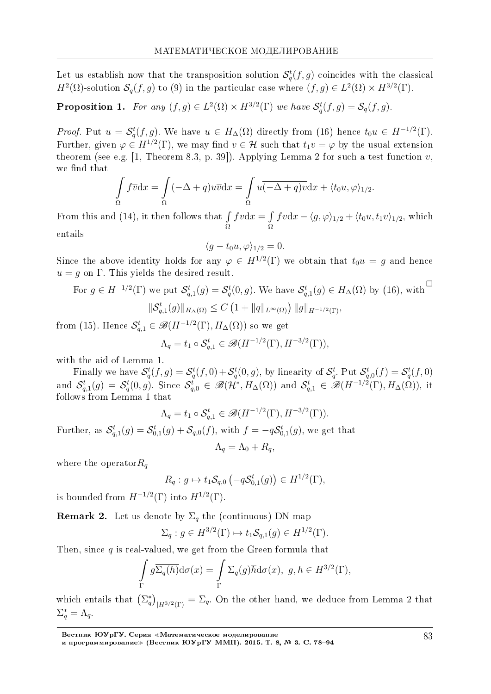Let us establish now that the transposition solution  $\mathcal{S}_q^t(f,g)$  coincides with the classical *H*<sup>2</sup>( $\Omega$ )-solution *S*<sub>*q*</sub>(*f, g*) to (9) in the particular case where  $(f, g) \in L^2(\Omega) \times H^{3/2}(\Gamma)$ .

**Proposition 1.** For any  $(f, g) \in L^2(\Omega) \times H^{3/2}(\Gamma)$  we have  $\mathcal{S}_q^t(f, g) = \mathcal{S}_q(f, g)$ .

*Proof.* Put  $u = \mathcal{S}_q^t(f, g)$ . We have  $u \in H_{\Delta}(\Omega)$  directly from (16) hence  $t_0 u \in H^{-1/2}(\Gamma)$ . Further, given  $\varphi \in H^{1/2}(\Gamma)$ , we may find  $v \in \mathcal{H}$  such that  $t_1v = \varphi$  by the usual extension theorem (see e.g. [1, Theorem 8.3, p. 39]). Applying Lemma 2 for such a test function *v*, we find that

$$
\int_{\Omega} f \overline{v} \, dx = \int_{\Omega} (-\Delta + q) u \overline{v} \, dx = \int_{\Omega} u \overline{(-\Delta + q) v} \, dx + \langle t_0 u, \varphi \rangle_{1/2}.
$$

From this and (14), it then follows that ∫ Ω  $f\overline{v}dx = \int$ Ω  $f\overline{v}dx - \langle g, \varphi \rangle_{1/2} + \langle t_0u, t_1v \rangle_{1/2}$ , which entails

$$
\langle g - t_0 u, \varphi \rangle_{1/2} = 0.
$$

Since the above identity holds for any  $\varphi \in H^{1/2}(\Gamma)$  we obtain that  $t_0u = g$  and hence  $u = g$  on  $\Gamma$ . This yields the desired result.

For 
$$
g \in H^{-1/2}(\Gamma)
$$
 we put  $\mathcal{S}_{q,1}^t(g) = \mathcal{S}_q^t(0,g)$ . We have  $\mathcal{S}_{q,1}^t(g) \in H_{\Delta}(\Omega)$  by (16), with  $\mathcal{S}_{q,1}^t(g) \parallel_{H_{\Delta}(\Omega)} \leq C \left(1 + \|q\|_{L^{\infty}(\Omega)}\right) \|g\|_{H^{-1/2}(\Gamma)},$ 

from (15). Hence  $\mathcal{S}_{q,1}^t \in \mathscr{B}(H^{-1/2}(\Gamma), H_{\Delta}(\Omega))$  so we get

$$
\Lambda_q = t_1 \circ \mathcal{S}_{q,1}^t \in \mathscr{B}(H^{-1/2}(\Gamma), H^{-3/2}(\Gamma)),
$$

with the aid of Lemma 1.

Finally we have  $\mathcal{S}_q^t(f,g) = \mathcal{S}_q^t(f,0) + \mathcal{S}_q^t(0,g)$ , by linearity of  $\mathcal{S}_q^t$ . Put  $\mathcal{S}_{q,0}^t(f) = \mathcal{S}_q^t(f,0)$ and  $\mathcal{S}_{q,1}^t(g) = \mathcal{S}_q^t(0,g)$ . Since  $\mathcal{S}_{q,0}^t \in \mathscr{B}(\mathcal{H}^*, H_\Delta(\Omega))$  and  $\mathcal{S}_{q,1}^t \in \mathscr{B}(H^{-1/2}(\Gamma), H_\Delta(\Omega))$ , it follows from Lemma 1 that

$$
\Lambda_q = t_1 \circ \mathcal{S}_{q,1}^t \in \mathscr{B}(H^{-1/2}(\Gamma), H^{-3/2}(\Gamma)).
$$
  
Further, as 
$$
\mathcal{S}_{q,1}^t(g) = \mathcal{S}_{0,1}^t(g) + \mathcal{S}_{q,0}(f)
$$
, with  $f = -q\mathcal{S}_{0,1}^t(g)$ , we get that  

$$
\Lambda_q = \Lambda_0 + R_q,
$$

where the operator*R<sup>q</sup>*

$$
R_q: g \mapsto t_1 \mathcal{S}_{q,0} \left(-q\mathcal{S}_{0,1}^t(g)\right) \in H^{1/2}(\Gamma),
$$

is bounded from  $H^{-1/2}(\Gamma)$  into  $H^{1/2}(\Gamma)$ .

**Remark 2.** Let us denote by  $\Sigma_q$  the (continuous) DN map

$$
\Sigma_q: g \in H^{3/2}(\Gamma) \mapsto t_1 \mathcal{S}_{q,1}(g) \in H^{1/2}(\Gamma).
$$

Then, since *q* is real-valued, we get from the Green formula that

$$
\int_{\Gamma} g \overline{\Sigma_q(h)} d\sigma(x) = \int_{\Gamma} \Sigma_q(g) \overline{h} d\sigma(x), \ g, h \in H^{3/2}(\Gamma),
$$

which entails that  $(\Sigma_q^*)_{|H^{3/2}(\Gamma)} = \Sigma_q$ . On the other hand, we deduce from Lemma 2 that  $\Sigma_q^* = \Lambda_q$ .

Вестник ЮУрГУ. Серия «Математическое моделирование и программирование≫ (Вестник ЮУрГУ ММП). 2015. Т. 8, № 3. C. 78–94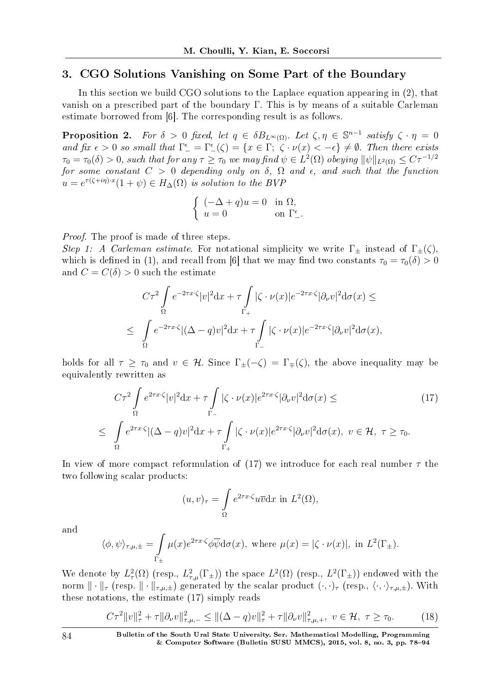## 3. CGO Solutions Vanishing on Some Part of the Boundary

In this section we build CGO solutions to the Laplace equation appearing in (2), that vanish on a prescribed part of the boundary Γ. This is by means of a suitable Carleman estimate borrowed from [6]. The corresponding result is as follows.

**Proposition 2.** For  $\delta > 0$  fixed, let  $q \in \delta B_{L^{\infty}(\Omega)}$ . Let  $\zeta, \eta \in \mathbb{S}^{n-1}$  satisfy  $\zeta \cdot \eta = 0$ and fix  $\epsilon > 0$  so small that  $\Gamma_{-}^{\epsilon} = \Gamma_{-}^{\epsilon}(\zeta) = \{x \in \Gamma; \ \zeta \cdot \nu(x) < -\epsilon\} \neq \emptyset$ . Then there exists  $\tau_0 = \tau_0(\delta) > 0$ , such that for any  $\tau \geq \tau_0$  we may find  $\psi \in L^2(\Omega)$  obeying  $\|\psi\|_{L^2(\Omega)} \leq C\tau^{-1/2}$ for some constant  $C > 0$  depending only on  $\delta$ ,  $\Omega$  and  $\epsilon$ , and such that the function  $u = e^{\tau(\zeta + i\eta) \cdot x} (1 + \psi) \in H_{\Delta}(\Omega)$  is solution to the BVP

$$
\begin{cases}\n(-\Delta + q)u = 0 & \text{in } \Omega, \\
u = 0 & \text{on } \Gamma_{-}^{\epsilon}.\n\end{cases}
$$

Proof. The proof is made of three steps.

Step 1: A Carleman estimate. For notational simplicity we write  $\Gamma_{\pm}$  instead of  $\Gamma_{\pm}(\zeta)$ , which is defined in (1), and recall from [6] that we may find two constants  $\tau_0 = \tau_0(\delta) > 0$ and  $C = C(\delta) > 0$  such the estimate

$$
C\tau^2 \int_{\Omega} e^{-2\tau x \cdot \zeta} |v|^2 dx + \tau \int_{\Gamma_+} |\zeta \cdot \nu(x)| e^{-2\tau x \cdot \zeta} |\partial_{\nu} v|^2 d\sigma(x) \le
$$
  

$$
\leq \int_{\Omega} e^{-2\tau x \cdot \zeta} |(\Delta - q)v|^2 dx + \tau \int_{\Gamma_-} |\zeta \cdot \nu(x)| e^{-2\tau x \cdot \zeta} |\partial_{\nu} v|^2 d\sigma(x),
$$

holds for all  $\tau \geq \tau_0$  and  $v \in \mathcal{H}$ . Since  $\Gamma_{\pm}(-\zeta) = \Gamma_{\mp}(\zeta)$ , the above inequality may be equivalently rewritten as

$$
C\tau^2 \int_{\Omega} e^{2\tau x \cdot \zeta} |v|^2 dx + \tau \int_{\Gamma_{-}} |\zeta \cdot \nu(x)| e^{2\tau x \cdot \zeta} |\partial_{\nu} v|^2 d\sigma(x) \leq
$$
  

$$
\leq \int_{\Omega} e^{2\tau x \cdot \zeta} |(\Delta - q)v|^2 dx + \tau \int_{\Gamma_{+}} |\zeta \cdot \nu(x)| e^{2\tau x \cdot \zeta} |\partial_{\nu} v|^2 d\sigma(x), \ v \in \mathcal{H}, \ \tau \geq \tau_0.
$$
  
(17)

In view of more compact reformulation of (17) we introduce for each real number *τ* the two following scalar products:

$$
(u,v)_{\tau} = \int_{\Omega} e^{2\tau x \cdot \zeta} u \overline{v} \mathrm{d}x \text{ in } L^2(\Omega),
$$

and

$$
\langle \phi, \psi \rangle_{\tau, \mu, \pm} = \int_{\Gamma_{\pm}} \mu(x) e^{2\tau x \cdot \zeta} \phi \overline{\psi} d\sigma(x), \text{ where } \mu(x) = |\zeta \cdot \nu(x)|, \text{ in } L^{2}(\Gamma_{\pm}).
$$

We denote by  $L^2(\Omega)$  (resp.,  $L^2(\Gamma_{\pm})$ ) the space  $L^2(\Omega)$  (resp.,  $L^2(\Gamma_{\pm})$ ) endowed with the norm  $\|\cdot\|_{\tau}$  (resp.  $\|\cdot\|_{\tau,\mu,\pm}$ ) generated by the scalar product  $(\cdot,\cdot)_{\tau}$  (resp.,  $\langle\cdot,\cdot\rangle_{\tau,\mu,\pm}$ ). With these notations, the estimate (17) simply reads

$$
C\tau^{2}||v||_{\tau}^{2} + \tau ||\partial_{\nu}v||_{\tau,\mu,-}^{2} \le ||(\Delta - q)v||_{\tau}^{2} + \tau ||\partial_{\nu}v||_{\tau,\mu,+}^{2}, \quad v \in \mathcal{H}, \quad \tau \ge \tau_{0}.
$$
 (18)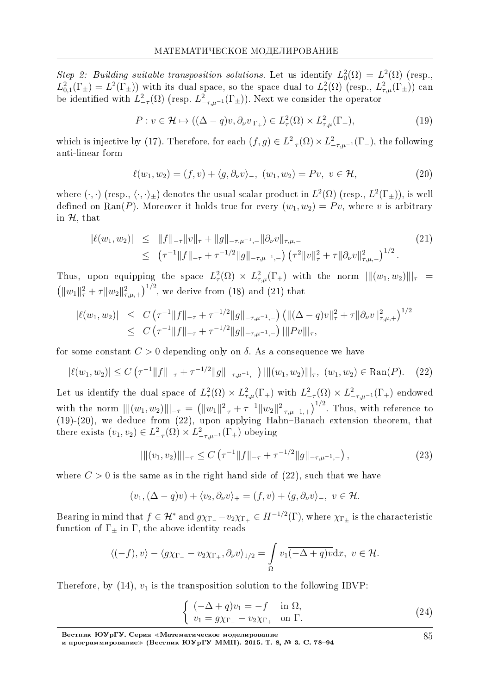Step 2: Building suitable transposition solutions. Let us identify  $L_0^2(\Omega) = L^2(\Omega)$  (resp.,  $L^2_{0,1}(\Gamma_{\pm}) = L^2(\Gamma_{\pm})$  with its dual space, so the space dual to  $L^2_{\tau}(\Omega)$  (resp.,  $L^2_{\tau,\mu}(\Gamma_{\pm})$ ) can be identified with  $L^2_{-\tau}(\Omega)$  (resp.  $L^2_{-\tau,\mu^{-1}}(\Gamma_{\pm})$ ). Next we consider the operator

$$
P: v \in \mathcal{H} \mapsto ((\Delta - q)v, \partial_{\nu}v_{|\Gamma_{+}}) \in L^{2}_{\tau}(\Omega) \times L^{2}_{\tau,\mu}(\Gamma_{+}),
$$
\n(19)

which is injective by (17). Therefore, for each  $(f, g) \in L^2_{-\tau}(\Omega) \times L^2_{-\tau,\mu^{-1}}(\Gamma_{-})$ , the following anti-linear form

$$
\ell(w_1, w_2) = (f, v) + \langle g, \partial_\nu v \rangle_-, \ (w_1, w_2) = Pv, \ v \in \mathcal{H}, \tag{20}
$$

where  $(\cdot, \cdot)$  (resp.,  $\langle \cdot, \cdot \rangle_{\pm}$ ) denotes the usual scalar product in  $L^2(\Omega)$  (resp.,  $L^2(\Gamma_{\pm})$ ), is well defined on Ran(P). Moreover it holds true for every  $(w_1, w_2) = Pv$ , where *v* is arbitrary in *H*, that

$$
|\ell(w_1, w_2)| \leq \|f\|_{-\tau} \|v\|_{\tau} + \|g\|_{-\tau, \mu^{-1}, -} \|\partial_{\nu} v\|_{\tau, \mu, -}
$$
  
 
$$
\leq (\tau^{-1} \|f\|_{-\tau} + \tau^{-1/2} \|g\|_{-\tau, \mu^{-1}, -}) (\tau^2 \|v\|_{\tau}^2 + \tau \|\partial_{\nu} v\|_{\tau, \mu, -})^{1/2}.
$$
 (21)

Thus, upon equipping the space  $L^2(\Omega) \times L^2_{\tau,\mu}(\Gamma_+)$  with the norm  $\|\|(w_1,w_2)\|\|_{\tau} =$  $\left(\|w_1\|_{\tau}^2 + \tau \|w_2\|_{\tau,\mu,+}^2\right)^{1/2}$ , we derive from (18) and (21) that

$$
|\ell(w_1, w_2)| \leq C \left( \tau^{-1} \|f\|_{-\tau} + \tau^{-1/2} \|g\|_{-\tau, \mu^{-1}, -} \right) \left( \|(\Delta - q)v\|_{\tau}^2 + \tau \|\partial_{\nu}v\|_{\tau, \mu, +}^2 \right)^{1/2} \leq C \left( \tau^{-1} \|f\|_{-\tau} + \tau^{-1/2} \|g\|_{-\tau, \mu^{-1}, -} \right) \|\|Pv\|_{\tau},
$$

for some constant  $C > 0$  depending only on  $\delta$ . As a consequence we have

$$
|\ell(w_1, w_2)| \le C \left( \tau^{-1} \|f\|_{-\tau} + \tau^{-1/2} \|g\|_{-\tau, \mu^{-1}, -} \right) \left| \| (w_1, w_2) \| \right|_{\tau}, \ (w_1, w_2) \in \text{Ran}(P). \tag{22}
$$

Let us identify the dual space of  $L^2_\tau(\Omega) \times L^2_{\tau,\mu}(\Gamma_+)$  with  $L^2_{-\tau}(\Omega) \times L^2_{-\tau,\mu^{-1}}(\Gamma_+)$  endowed with the norm  $\|\|(w_1, w_2)\|\|_{-\tau} = (\|w_1\|_{-\tau}^2 + \tau^{-1} \|w_2\|_{-\tau,\mu-1,+}^2)^{1/2}$ . Thus, with reference to  $(19)-(20)$ , we deduce from  $(22)$ , upon applying Hahn-Banach extension theorem, that there exists  $(v_1, v_2) \in L^2_{-\tau}(\Omega) \times L^2_{-\tau, \mu^{-1}}(\Gamma_+)$  obeying

$$
\|[(v_1, v_2)\||_{-\tau} \le C\left(\tau^{-1} \|f\|_{-\tau} + \tau^{-1/2} \|g\|_{-\tau, \mu^{-1}, -}\right),\tag{23}
$$

where  $C > 0$  is the same as in the right hand side of  $(22)$ , such that we have

$$
(v_1, (\Delta - q)v) + \langle v_2, \partial_\nu v \rangle_+ = (f, v) + \langle g, \partial_\nu v \rangle_-, v \in \mathcal{H}.
$$

Bearing in mind that  $f \in H^*$  and  $g\chi_{\Gamma_+} - v_2\chi_{\Gamma_+} \in H^{-1/2}(\Gamma)$ , where  $\chi_{\Gamma_\pm}$  is the characteristic function of  $\Gamma_{\pm}$  in  $\Gamma$ , the above identity reads

$$
\langle (-f), v \rangle - \langle g \chi_{\Gamma_{-}} - v_2 \chi_{\Gamma_{+}}, \partial_{\nu} v \rangle_{1/2} = \int_{\Omega} v_1 \overline{(-\Delta + q) v} \, dx, \ v \in \mathcal{H}.
$$

Therefore, by  $(14)$ ,  $v_1$  is the transposition solution to the following IBVP:

$$
\begin{cases}\n(-\Delta + q)v_1 = -f & \text{in } \Omega, \\
v_1 = g\chi_{\Gamma_+} - v_2\chi_{\Gamma_+} & \text{on } \Gamma.\n\end{cases}
$$
\n(24)

85

Вестник ЮУрГУ. Серия «Математическое моделирование

и программирование≫ (Вестник ЮУрГУ ММП). 2015. Т. 8, № 3. C. 78–94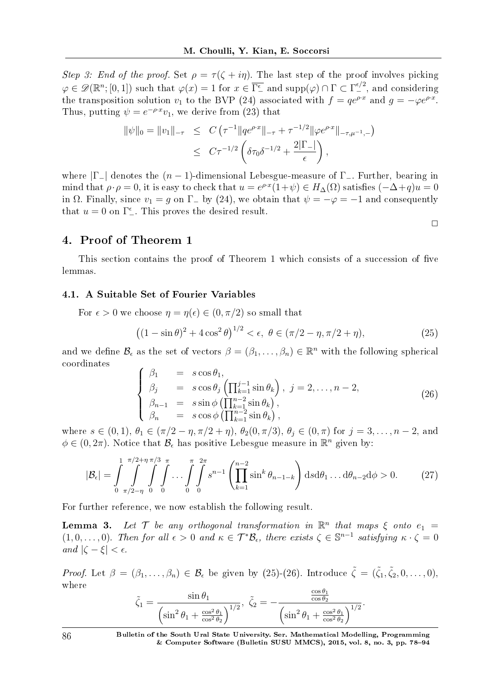Step 3: End of the proof. Set  $\rho = \tau(\zeta + i\eta)$ . The last step of the proof involves picking  $\varphi \in \mathscr{D}(\mathbb{R}^n; [0, 1])$  such that  $\varphi(x) = 1$  for  $x \in \overline{\Gamma_{-}^{\epsilon}}$  and supp $(\varphi) \cap \Gamma \subset \Gamma_{-}^{\epsilon/2}$ , and considering the transposition solution  $v_1$  to the BVP (24) associated with  $f = q e^{\rho \cdot x}$  and  $g = -\varphi e^{\rho \cdot x}$ . Thus, putting  $\psi = e^{-\rho \cdot x} v_1$ , we derive from (23) that

$$
\|\psi\|_{0} = \|v_{1}\|_{-\tau} \leq C \left(\tau^{-1} \|qe^{\rho \cdot x}\|_{-\tau} + \tau^{-1/2} \|\varphi e^{\rho \cdot x}\|_{-\tau, \mu^{-1}, -}\right)
$$
  

$$
\leq C\tau^{-1/2} \left(\delta \tau_{0} \delta^{-1/2} + \frac{2|\Gamma_{-}|}{\epsilon}\right),
$$

where *|*Γ*−|* denotes the (*n −* 1)-dimensional Lebesgue-measure of Γ*−*. Further, bearing in mind that  $\rho \cdot \rho = 0$ , it is easy to check that  $u = e^{\rho \cdot x} (1 + \psi) \in H_{\Delta}(\Omega)$  satisfies  $(-\Delta + q)u = 0$ in  $\Omega$ . Finally, since  $v_1 = g$  on  $\Gamma$ <sub>−</sub> by (24), we obtain that  $\psi = -\varphi = -1$  and consequently that  $u = 0$  on  $\Gamma_{-}^{\epsilon}$ . This proves the desired result.

### 4. Proof of Theorem 1

This section contains the proof of Theorem 1 which consists of a succession of five lemmas.

#### 4.1. A Suitable Set of Fourier Variables

For  $\epsilon > 0$  we choose  $\eta = \eta(\epsilon) \in (0, \pi/2)$  so small that

$$
((1 - \sin \theta)^2 + 4 \cos^2 \theta)^{1/2} < \epsilon, \ \theta \in (\pi/2 - \eta, \pi/2 + \eta), \tag{25}
$$

 $\Box$ 

and we define  $\mathcal{B}_{\epsilon}$  as the set of vectors  $\beta = (\beta_1, \ldots, \beta_n) \in \mathbb{R}^n$  with the following spherical coordinates

$$
\begin{cases}\n\beta_1 &= s \cos \theta_1, \\
\beta_j &= s \cos \theta_j \left( \prod_{k=1}^{j-1} \sin \theta_k \right), \ j = 2, \dots, n-2, \\
\beta_{n-1} &= s \sin \phi \left( \prod_{k=1}^{n-2} \sin \theta_k \right), \\
\beta_n &= s \cos \phi \left( \prod_{k=1}^{n-2} \sin \theta_k \right),\n\end{cases}
$$
\n(26)

where  $s \in (0,1)$ ,  $\theta_1 \in (\pi/2 - \eta, \pi/2 + \eta)$ ,  $\theta_2(0, \pi/3)$ ,  $\theta_j \in (0, \pi)$  for  $j = 3, \ldots, n-2$ , and  $\phi \in (0, 2\pi)$ . Notice that  $\mathcal{B}_{\epsilon}$  has positive Lebesgue measure in  $\mathbb{R}^n$  given by:

$$
|\mathcal{B}_{\epsilon}| = \int_{0}^{1} \int_{\pi/2 - \eta}^{\pi/2 + \eta} \int_{0}^{\pi/3} \int_{0}^{\pi} \cdots \int_{0}^{\pi} \int_{0}^{2\pi} s^{n-1} \left( \prod_{k=1}^{n-2} \sin^{k} \theta_{n-1-k} \right) ds d\theta_{1} \dots d\theta_{n-2} d\phi > 0.
$$
 (27)

For further reference, we now establish the following result.

**Lemma 3.** Let  $\mathcal{T}$  be any orthogonal transformation in  $\mathbb{R}^n$  that maps  $\xi$  onto  $e_1$  =  $(1,0,\ldots,0)$ . Then for all  $\epsilon > 0$  and  $\kappa \in \mathcal{T}^*\mathcal{B}_{\epsilon}$ , there exists  $\zeta \in \mathbb{S}^{n-1}$  satisfying  $\kappa \cdot \zeta = 0$  $|c - \xi| < \epsilon$ .

*Proof.* Let  $\beta = (\beta_1, \ldots, \beta_n) \in \mathcal{B}_{\epsilon}$  be given by (25)-(26). Introduce  $\tilde{\zeta} = (\tilde{\zeta}_1, \tilde{\zeta}_2, 0, \ldots, 0),$ where

$$
\tilde{\zeta}_1 = \frac{\sin \theta_1}{\left(\sin^2 \theta_1 + \frac{\cos^2 \theta_1}{\cos^2 \theta_2}\right)^{1/2}}, \quad \tilde{\zeta}_2 = -\frac{\frac{\cos \theta_1}{\cos \theta_2}}{\left(\sin^2 \theta_1 + \frac{\cos^2 \theta_1}{\cos^2 \theta_2}\right)^{1/2}}.
$$

86 Bulletin of the South Ural State University. Ser. Mathematical Modelling, Programming & Computer Software (Bulletin SUSU MMCS), 2015, vol. 8, no. 3, pp.  $78-94$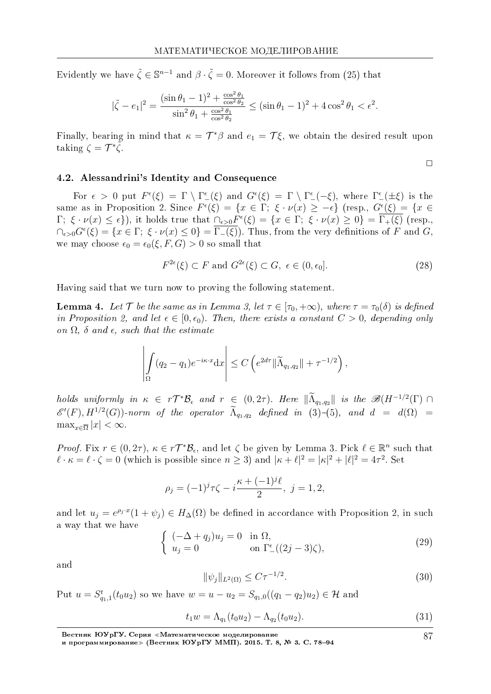Evidently we have  $\tilde{\zeta} \in \mathbb{S}^{n-1}$  and  $\beta \cdot \tilde{\zeta} = 0$ . Moreover it follows from (25) that

$$
|\tilde{\zeta} - e_1|^2 = \frac{(\sin \theta_1 - 1)^2 + \frac{\cos^2 \theta_1}{\cos^2 \theta_2}}{\sin^2 \theta_1 + \frac{\cos^2 \theta_1}{\cos^2 \theta_2}} \le (\sin \theta_1 - 1)^2 + 4\cos^2 \theta_1 < \epsilon^2.
$$

Finally, bearing in mind that  $\kappa = \mathcal{T}^*\beta$  and  $e_1 = \mathcal{T}\xi$ , we obtain the desired result upon taking  $\zeta = \mathcal{T}^*\tilde{\zeta}$ .

$$
\Box
$$

87

#### 4.2. Alessandrini's Identity and Consequence

For  $\epsilon > 0$  put  $F^{\epsilon}(\xi) = \Gamma \setminus \Gamma^{\epsilon}(\xi)$  and  $G^{\epsilon}(\xi) = \Gamma \setminus \Gamma^{\epsilon}(-\xi)$ , where  $\Gamma^{\epsilon}(\pm \xi)$  is the same as in Proposition 2. Since  $F^{\epsilon}(\xi) = \{x \in \Gamma; \xi \cdot \nu(x) \geq -\epsilon\}$  (resp.,  $G^{\epsilon}(\xi) = \{x \in \Gamma; \xi \cdot \nu(x) \geq -\epsilon\}$  $\Gamma; \xi \cdot \nu(x) \leq \epsilon$ , it holds true that  $\bigcap_{\epsilon>0} F^{\epsilon}(\xi) = \{x \in \Gamma; \xi \cdot \nu(x) \geq 0\} = \overline{\Gamma_{+}(\xi)}$  (resp.,  $\cap_{\epsilon>0} G^{\epsilon}(\xi) = \{x \in \Gamma; \xi \cdot \nu(x) \leq 0\} = \overline{\Gamma_{-}(\xi)}$ . Thus, from the very definitions of *F* and *G*, we may choose  $\epsilon_0 = \epsilon_0(\xi, F, G) > 0$  so small that

$$
F^{2\epsilon}(\xi) \subset F \text{ and } G^{2\epsilon}(\xi) \subset G, \ \epsilon \in (0, \epsilon_0]. \tag{28}
$$

Having said that we turn now to proving the following statement.

**Lemma 4.** Let  $\mathcal{T}$  be the same as in Lemma 3, let  $\tau \in [\tau_0, +\infty)$ , where  $\tau = \tau_0(\delta)$  is defined in Proposition 2, and let  $\epsilon \in [0, \epsilon_0)$ . Then, there exists a constant  $C > 0$ , depending only on  $\Omega$ ,  $\delta$  and  $\epsilon$ , such that the estimate

$$
\left| \int_{\Omega} (q_2 - q_1) e^{-i\kappa \cdot x} dx \right| \leq C \left( e^{2d\tau} \| \widetilde{\Lambda}_{q_1, q_2} \| + \tau^{-1/2} \right),
$$

holds uniformly in  $\kappa \in r\mathcal{T}^*\mathcal{B}_{\epsilon}$  and  $r \in (0, 2\tau)$ . Here  $\|\tilde{\Lambda}_{q_1,q_2}\|$  is the  $\mathscr{B}(H^{-1/2}(\Gamma) \cap \mathscr{B}(H^{-1/2}(\Gamma))$  $\mathscr{E}'(F)$ ,  $H^{1/2}(G)$ )-norm of the operator  $\Lambda_{q_1,q_2}$  defined in (3)-(5), and  $d = d(\Omega)$  $\max_{x \in \overline{\Omega}} |x| < \infty.$ 

*Proof.* Fix  $r \in (0, 2\tau)$ ,  $\kappa \in r\mathcal{T}^*\mathcal{B}_{\epsilon}$ , and let  $\zeta$  be given by Lemma 3. Pick  $\ell \in \mathbb{R}^n$  such that  $\ell \cdot \kappa = \ell \cdot \zeta = 0$  (which is possible since  $n \ge 3$ ) and  $|\kappa + \ell|^2 = |\kappa|^2 + |\ell|^2 = 4\tau^2$ . Set

$$
\rho_j = (-1)^j \tau \zeta - i \frac{\kappa + (-1)^j \ell}{2}, \ j = 1, 2,
$$

and let  $u_j = e^{\rho_j x} (1 + \psi_j) \in H_{\Delta}(\Omega)$  be defined in accordance with Proposition 2, in such a way that we have

$$
\begin{cases}\n(-\Delta + q_j)u_j = 0 & \text{in } \Omega, \\
u_j = 0 & \text{on } \Gamma_{-}^{\epsilon}((2j-3)\zeta),\n\end{cases}
$$
\n(29)

and

$$
\|\psi_j\|_{L^2(\Omega)} \le C\tau^{-1/2}.\tag{30}
$$

Put  $u = S_{q_1,1}^t(t_0u_2)$  so we have  $w = u - u_2 = S_{q_1,0}((q_1 - q_2)u_2) \in \mathcal{H}$  and

$$
t_1 w = \Lambda_{q_1}(t_0 u_2) - \Lambda_{q_2}(t_0 u_2).
$$
\n(31)

Вестник ЮУрГУ. Серия «Математическое моделирование

и программирование» (Вестник ЮУрГУ ММП). 2015. Т. 8, № 3. С. 78-94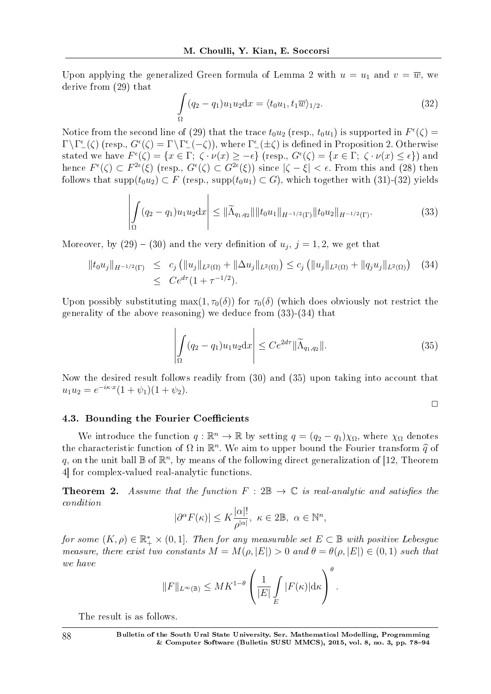Upon applying the generalized Green formula of Lemma 2 with  $u = u_1$  and  $v = \overline{w}$ , we derive from (29) that

$$
\int_{\Omega} (q_2 - q_1) u_1 u_2 \mathrm{d}x = \langle t_0 u_1, t_1 \overline{w} \rangle_{1/2}.
$$
\n(32)

Notice from the second line of (29) that the trace  $t_0u_2$  (resp.,  $t_0u_1$ ) is supported in  $F^{\epsilon}(\zeta)$  =  $\Gamma \backslash \Gamma_{-}^{\epsilon}(\zeta)$  (resp.,  $G^{\epsilon}(\zeta) = \Gamma \backslash \Gamma_{-}^{\epsilon}(-\zeta)$ ), where  $\Gamma_{-}^{\epsilon}(\pm \zeta)$  is defined in Proposition 2. Otherwise stated we have  $F^{\epsilon}(\zeta) = \{x \in \Gamma; \ \zeta \cdot \nu(x) \geq -\epsilon\}$  (resp.,  $G^{\epsilon}(\zeta) = \{x \in \Gamma; \ \zeta \cdot \nu(x) \leq \epsilon\}$ ) and hence  $F^{\epsilon}(\zeta) \subset F^{2\epsilon}(\xi)$  (resp.,  $G^{\epsilon}(\zeta) \subset G^{2\epsilon}(\xi)$ ) since  $|\zeta - \xi| < \epsilon$ . From this and (28) then follows that  $\text{supp}(t_0u_2) \subset F$  (resp.,  $\text{supp}(t_0u_1) \subset G$ ), which together with (31)-(32) yields

$$
\left| \int_{\Omega} (q_2 - q_1) u_1 u_2 \, dx \right| \leq \|\widetilde{\Lambda}_{q_1, q_2}\| \|t_0 u_1\|_{H^{-1/2}(\Gamma)} \|t_0 u_2\|_{H^{-1/2}(\Gamma)}.
$$
\n(33)

Moreover, by  $(29) - (30)$  and the very definition of  $u_j$ ,  $j = 1, 2$ , we get that

$$
||t_0 u_j||_{H^{-1/2}(\Gamma)} \le c_j (||u_j||_{L^2(\Omega)} + ||\Delta u_j||_{L^2(\Omega)}) \le c_j (||u_j||_{L^2(\Omega)} + ||q_j u_j||_{L^2(\Omega)}) \quad (34)
$$
  
 
$$
\le C e^{d\tau} (1 + \tau^{-1/2}).
$$

Upon possibly substituting max $(1, \tau_0(\delta))$  for  $\tau_0(\delta)$  (which does obviously not restrict the generality of the above reasoning) we deduce from (33)-(34) that

$$
\left| \int_{\Omega} (q_2 - q_1) u_1 u_2 \mathrm{d}x \right| \leq C e^{2d\tau} \| \widetilde{\Lambda}_{q_1, q_2} \|.
$$
 (35)

 $\Box$ 

Now the desired result follows readily from (30) and (35) upon taking into account that  $u_1 u_2 = e^{-i\kappa \cdot x} (1 + \psi_1)(1 + \psi_2).$ 

#### 4.3. Bounding the Fourier Coefficients

We introduce the function  $q : \mathbb{R}^n \to \mathbb{R}$  by setting  $q = (q_2 - q_1)\chi_{\Omega}$ , where  $\chi_{\Omega}$  denotes the characteristic function of  $\Omega$  in  $\mathbb{R}^n$ . We aim to upper bound the Fourier transform  $\hat{q}$  of  $q$  on the unit ball  $\mathbb{R}$  of  $\mathbb{R}^n$ , by means of the following direct generalization of [12] Theorem q, on the unit ball  $\mathbb B$  of  $\mathbb R^n$ , by means of the following direct generalization of [12, Theorem 4] for complex-valued real-analytic functions.

**Theorem 2.** Assume that the function  $F : 2\mathbb{B} \to \mathbb{C}$  is real-analytic and satisfies the condition

$$
|\partial^{\alpha} F(\kappa)| \leq K \frac{|\alpha|!}{\rho^{|\alpha|}}, \ \kappa \in 2\mathbb{B}, \ \alpha \in \mathbb{N}^n,
$$

 $for~some~(K,\rho)\in \mathbb{R}_+^*\times (0,1].$  Then for any measurable set  $E\subset \mathbb{B}$  with positive Lebesgue measure, there exist two constants  $M = M(\rho, |E|) > 0$  and  $\theta = \theta(\rho, |E|) \in (0, 1)$  such that we have

$$
||F||_{L^{\infty}(\mathbb{B})} \leq MK^{1-\theta} \left(\frac{1}{|E|} \int\limits_{E} |F(\kappa)| d\kappa\right)^{\theta}.
$$

The result is as follows.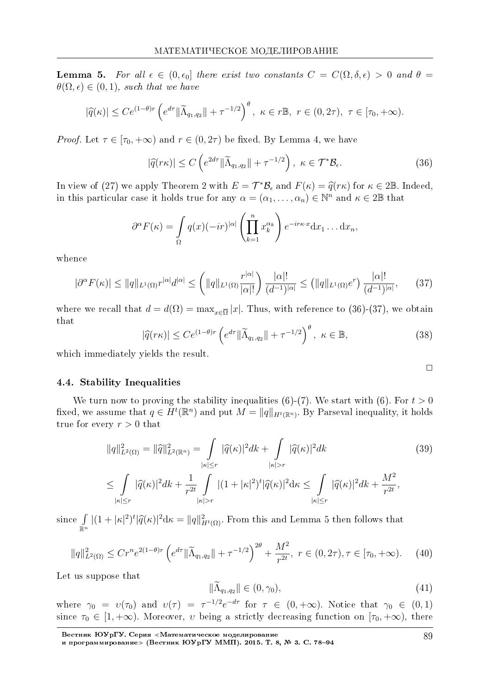**Lemma 5.** For all  $\epsilon \in (0, \epsilon_0]$  there exist two constants  $C = C(\Omega, \delta, \epsilon) > 0$  and  $\theta =$  $\theta(\Omega, \epsilon) \in (0, 1)$ , such that we have

$$
|\widehat{q}(\kappa)| \le Ce^{(1-\theta)r} \left(e^{d\tau} \|\widetilde{\Lambda}_{q_1,q_2}\| + \tau^{-1/2}\right)^{\theta}, \ \kappa \in r\mathbb{B}, \ r \in (0,2\tau), \ \tau \in [\tau_0,+\infty).
$$

*Proof.* Let  $\tau \in [\tau_0, +\infty)$  and  $r \in (0, 2\tau)$  be fixed. By Lemma 4, we have

$$
|\widehat{q}(r\kappa)| \le C\left(e^{2d\tau} \|\widetilde{\Lambda}_{q_1,q_2}\| + \tau^{-1/2}\right), \ \kappa \in \mathcal{T}^*\mathcal{B}_{\epsilon}.\tag{36}
$$

In view of (27) we apply Theorem 2 with  $E = \mathcal{T}^* \mathcal{B}_{\epsilon}$  and  $F(\kappa) = \hat{q}(r\kappa)$  for  $\kappa \in 2\mathbb{B}$ . Indeed,<br>in this particular case it holds true for any  $\alpha = (\alpha, \alpha) \in \mathbb{N}^n$  and  $\kappa \in 2\mathbb{R}$  that in this particular case it holds true for any  $\alpha = (\alpha_1, \ldots, \alpha_n) \in \mathbb{N}^n$  and  $\kappa \in 2\mathbb{B}$  that

$$
\partial^{\alpha} F(\kappa) = \int\limits_{\Omega} q(x) (-ir)^{|\alpha|} \left( \prod_{k=1}^{n} x_k^{\alpha_k} \right) e^{-ir\kappa \cdot x} dx_1 \dots dx_n,
$$

whence

$$
|\partial^{\alpha} F(\kappa)| \le ||q||_{L^{1}(\Omega)} r^{|\alpha|} d^{|\alpha|} \le \left( ||q||_{L^{1}(\Omega)} \frac{r^{|\alpha|}}{|\alpha|!} \right) \frac{|\alpha|!}{(d^{-1})^{|\alpha|}} \le \left( ||q||_{L^{1}(\Omega)} e^{r} \right) \frac{|\alpha|!}{(d^{-1})^{|\alpha|}},\tag{37}
$$

where we recall that  $d = d(\Omega) = \max_{x \in \overline{\Omega}} |x|$ . Thus, with reference to (36)-(37), we obtain that

$$
|\widehat{q}(r\kappa)| \le Ce^{(1-\theta)r} \left(e^{d\tau} \|\widetilde{\Lambda}_{q_1,q_2}\| + \tau^{-1/2}\right)^{\theta}, \ \kappa \in \mathbb{B},\tag{38}
$$

which immediately yields the result.

#### 4.4. Stability Inequalities

We turn now to proving the stability inequalities  $(6)-(7)$ . We start with  $(6)$ . For  $t > 0$ fixed, we assume that  $q \in H^t(\mathbb{R}^n)$  and put  $M = ||q||_{H^t(\mathbb{R}^n)}$ . By Parseval inequality, it holds true for every  $r > 0$  that

$$
||q||_{L^{2}(\Omega)}^{2} = ||\widehat{q}||_{L^{2}(\mathbb{R}^{n})}^{2} = \int_{|\kappa| \leq r} |\widehat{q}(\kappa)|^{2} d\kappa + \int_{|\kappa| > r} |\widehat{q}(\kappa)|^{2} d\kappa
$$
\n
$$
\leq \int_{|\widehat{q}(\kappa)|^{2} d\kappa + 1} \int_{|\kappa| \leq r} |(1 + |\kappa|^{2})^{t} |\widehat{q}(\kappa)|^{2} d\kappa \leq \int_{|\widehat{q}(\kappa)|^{2} d\kappa + 1} M^{2}
$$
\n(39)

$$
\leq \int_{|\kappa| \leq r} |\widehat{q}(\kappa)|^2 dk + \frac{1}{r^{2t}} \int_{|\kappa| > r} |(1+|\kappa|^2)^t |\widehat{q}(\kappa)|^2 d\kappa \leq \int_{|\kappa| \leq r} |\widehat{q}(\kappa)|^2 dk + \frac{M^2}{r^{2t}},
$$

since ∫ R*<sup>n</sup>*  $|(1 + |\kappa|^2)^t|\hat{q}(\kappa)|^2 d\kappa = ||q||^2_{H^t(\Omega)}$ . From this and Lemma 5 then follows that

$$
||q||_{L^{2}(\Omega)}^{2} \leq Cr^{n}e^{2(1-\theta)r} \left(e^{d\tau}||\widetilde{\Lambda}_{q_{1},q_{2}}||+\tau^{-1/2}\right)^{2\theta} + \frac{M^{2}}{r^{2t}}, \ r \in (0,2\tau), \tau \in [\tau_{0},+\infty). \tag{40}
$$

Let us suppose that

$$
\|\tilde{\Lambda}_{q_1,q_2}\| \in (0,\gamma_0),\tag{41}
$$

where  $\gamma_0 = v(\tau_0)$  and  $v(\tau) = \tau^{-1/2} e^{-d\tau}$  for  $\tau \in (0, +\infty)$ . Notice that  $\gamma_0 \in (0, 1)$ since  $\tau_0 \in [1, +\infty)$ . Moreover, *v* being a strictly decreasing function on  $[\tau_0, +\infty)$ , there

Вестник ЮУрГУ. Серия «Математическое моделирование

 $\Box$ 

и программирование≫ (Вестник ЮУрГУ ММП). 2015. Т. 8, № 3. C. 78–94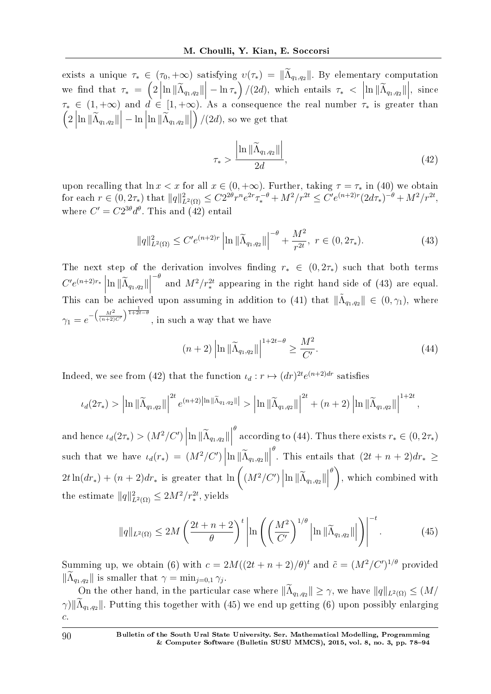exists a unique  $\tau_* \in (\tau_0, +\infty)$  satisfying  $v(\tau_*) = ||\widetilde{\Lambda}_{q_1,q_2}||$ . By elementary computation we find that  $\tau_* = (2 \left| \ln \|\widetilde{\Lambda}_{q_1,q_2}\| \right| - \ln \tau_*)/(2d)$ , which entails  $\tau_* < \left| \ln \|\widetilde{\Lambda}_{q_1,q_2}\| \right|$ , since  $\tau_* \in (1, +\infty)$  and  $d \in [1, +\infty)$ . As a consequence the real number  $\tau_*$  is greater than  $\left(2\left|\ln \|\widetilde{\Lambda}_{q_1,q_2}\| \right| - \ln \left|\ln \|\widetilde{\Lambda}_{q_1,q_2}\| \right| \right)$  $\bigg)/\big(2d\big)$ , so we get that

$$
\tau_* > \frac{\left| \ln \|\widetilde{\Lambda}_{q_1, q_2}\| \right|}{2d},\tag{42}
$$

upon recalling that  $\ln x < x$  for all  $x \in (0, +\infty)$ . Further, taking  $\tau = \tau_*$  in (40) we obtain for each  $r \in (0, 2\tau_*)$  that  $||q||^2_{L^2(\Omega)} \leq C2^{2\theta}r^n e^{2r}\tau_*^{-\theta} + M^2/r^{2t} \leq C'e^{(n+2)r}(2d\tau_*)^{-\theta} + M^2/r^{2t}$ , where  $C' = C2^{3\theta}d^{\theta}$ . This and (42) entail

$$
||q||_{L^{2}(\Omega)}^{2} \leq C'e^{(n+2)r} \left| \ln ||\widetilde{\Lambda}_{q_{1},q_{2}}|| \right|^{-\theta} + \frac{M^{2}}{r^{2t}}, \ r \in (0, 2\tau_{*}). \tag{43}
$$

The next step of the derivation involves finding  $r_* \in (0, 2\tau_*)$  such that both terms  $C'e^{(n+2)r_*}$   $\left| \ln \|\widetilde{\Lambda}_{q_1,q_2} \| \right|$ This can be achieved upon assuming in addition to (41) that  $\|\tilde{\Lambda}_{q_1,q_2}\| \in (0,\gamma_1)$ , where  $\sigma$ <sup>*-θ*</sup>
and  $M^2/r_*^{2t}$  appearing in the right hand side of (43) are equal.  $\gamma_1 = e^{-\left(\frac{M^2}{(n+2)C'}\right)^{\frac{1}{1+2t-\theta}}}$ , in such a way that we have

$$
(n+2)\left|\ln\|\widetilde{\Lambda}_{q_1,q_2}\|\right|^{1+2t-\theta} \ge \frac{M^2}{C'}.
$$
\n(44)

*,*

Indeed, we see from (42) that the function  $\iota_d : r \mapsto (dr)^{2t} e^{(n+2)dr}$  satisfies

$$
\iota_d(2\tau_*)>\left|\ln\|\widetilde{\Lambda}_{q_1,q_2}\|\right|^{2t}e^{(n+2)\left|\ln\|\widetilde{\Lambda}_{q_1,q_2}\|\right|}>\left|\ln\|\widetilde{\Lambda}_{q_1,q_2}\|\right|^{2t}+(n+2)\left|\ln\|\widetilde{\Lambda}_{q_1,q_2}\|\right|^{1+2t}
$$

and hence  $\iota_d(2\tau_*) > (M^2/C') \left| \ln \|\widetilde{\Lambda}_{q_1,q_2} \| \right|$  $\theta$  according to (44). Thus there exists  $r_* \in (0, 2\tau_*)$ such that we have  $\iota_d(r_*) = (M^2/C') \left| \ln \|\widetilde{\Lambda}_{q_1,q_2}\| \right|$  $\frac{\theta}{\theta}$ . This entails that  $(2t + n + 2)dr_* \geq$  $2t \ln(dr_*) + (n+2)dr_*$  is greater that  $\ln\left((M^2/C')\left|\ln\|\widetilde{\Lambda}_{q_1,q_2}\|\right|$ *θ* ) , which combined with the estimate  $||q||_{L^2(\Omega)}^2 \le 2M^2/r_*^{2t}$ , yields

$$
\|q\|_{L^{2}(\Omega)} \le 2M\left(\frac{2t+n+2}{\theta}\right)^{t} \left|\ln\left(\left(\frac{M^{2}}{C'}\right)^{1/\theta}\left|\ln\|\widetilde{\Lambda}_{q_{1},q_{2}}\|\right|\right)\right|^{-t}.\tag{45}
$$

Summing up, we obtain (6) with  $c = 2M((2t + n + 2)/\theta)^t$  and  $\tilde{c} = (M^2/C')^{1/\theta}$  provided  $\|\Lambda_{q_1,q_2}\|$  is smaller that  $\gamma = \min_{j=0,1} \gamma_j$ .

On the other hand, in the particular case where  $\|\widetilde{\Lambda}_{q_1,q_2}\| \geq \gamma$ , we have  $\|q\|_{L^2(\Omega)} \leq (M/N)^{1/2}$ *γ*) $\|\widetilde{\Lambda}_{q_1,q_2}\|$ . Putting this together with (45) we end up getting (6) upon possibly enlarging *c*.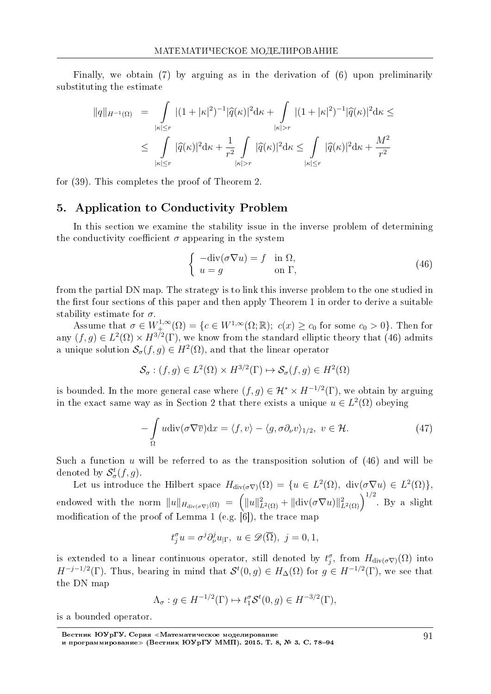Finally, we obtain (7) by arguing as in the derivation of (6) upon preliminarily substituting the estimate

$$
||q||_{H^{-1}(\Omega)} = \int_{|\kappa| \le r} |(1+|\kappa|^2)^{-1} |\widehat{q}(\kappa)|^2 d\kappa + \int_{|\kappa| > r} |(1+|\kappa|^2)^{-1} |\widehat{q}(\kappa)|^2 d\kappa \le
$$
  

$$
\le \int_{|\kappa| \le r} |\widehat{q}(\kappa)|^2 d\kappa + \frac{1}{r^2} \int_{|\kappa| > r} |\widehat{q}(\kappa)|^2 d\kappa \le \int_{|\kappa| \le r} |\widehat{q}(\kappa)|^2 d\kappa + \frac{M^2}{r^2}
$$

for (39). This completes the proof of Theorem 2.

## 5. Application to Conductivity Problem

In this section we examine the stability issue in the inverse problem of determining the conductivity coefficient  $\sigma$  appearing in the system

$$
\begin{cases}\n-\text{div}(\sigma \nabla u) = f & \text{in } \Omega, \\
u = g & \text{on } \Gamma,\n\end{cases}
$$
\n(46)

from the partial DN map. The strategy is to link this inverse problem to the one studied in the first four sections of this paper and then apply Theorem 1 in order to derive a suitable stability estimate for *σ*.

Assume that  $\sigma \in W_+^{1,\infty}(\Omega) = \{c \in W^{1,\infty}(\Omega;\mathbb{R}); c(x) \ge c_0 \text{ for some } c_0 > 0\}.$  Then for any  $(f, g) \in L^2(\Omega) \times H^{3/2}(\Gamma)$ , we know from the standard elliptic theory that (46) admits a unique solution  $\mathcal{S}_{\sigma}(f,g) \in H^2(\Omega)$ , and that the linear operator

$$
\mathcal{S}_{\sigma} : (f, g) \in L^{2}(\Omega) \times H^{3/2}(\Gamma) \mapsto \mathcal{S}_{\sigma}(f, g) \in H^{2}(\Omega)
$$

is bounded. In the more general case where  $(f, g) \in \mathcal{H}^* \times H^{-1/2}(\Gamma)$ , we obtain by arguing in the exact same way as in Section 2 that there exists a unique  $u \in L^2(\Omega)$  obeying

$$
-\int_{\Omega} u \operatorname{div}(\sigma \nabla \overline{v}) dx = \langle f, v \rangle - \langle g, \sigma \partial_{\nu} v \rangle_{1/2}, \ v \in \mathcal{H}.
$$
 (47)

Such a function *u* will be referred to as the transposition solution of (46) and will be denoted by  $\mathcal{S}^t_\sigma(f,g)$ .

Let us introduce the Hilbert space  $H_{div(\sigma \nabla)}(\Omega) = \{u \in L^2(\Omega), \operatorname{div}(\sigma \nabla u) \in L^2(\Omega)\},\$ endowed with the norm  $||u||_{H_{\text{div}(\sigma\nabla)}(\Omega)} = (||u||^2_{L^2(\Omega)} + ||\text{div}(\sigma\nabla u)||^2_{L^2(\Omega)})^{1/2}$ . By a slight modification of the proof of Lemma 1 (e.g.  $\vert 6 \vert$ ), the trace map

$$
t_j^{\sigma}u = \sigma^j \partial_{\nu}^j u_{|\Gamma}, \ u \in \mathscr{D}(\overline{\Omega}), \ j = 0, 1,
$$

is extended to a linear continuous operator, still denoted by  $t_j^{\sigma}$ , from  $H_{div(\sigma \nabla)}(\Omega)$  into *H*<sup>−*j*−1/2</sup>(Γ). Thus, bearing in mind that  $S^t(0, g) \in H_0(\Omega)$  for  $g \in H^{-1/2}(\Gamma)$ , we see that the DN map

$$
\Lambda_{\sigma}: g \in H^{-1/2}(\Gamma) \mapsto t_1^{\sigma} \mathcal{S}^t(0, g) \in H^{-3/2}(\Gamma),
$$

is a bounded operator.

Вестник ЮУрГУ. Серия «Математическое моделирование и программирование≫ (Вестник ЮУрГУ ММП). 2015. Т. 8, № 3. C. 78–94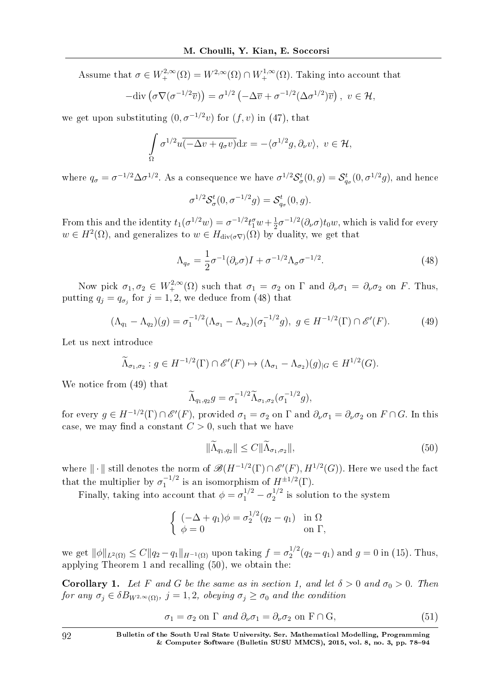Assume that  $\sigma \in W^{2,\infty}_{+}(\Omega) = W^{2,\infty}(\Omega) \cap W^{1,\infty}_{+}(\Omega)$ . Taking into account that

$$
-\text{div}\left(\sigma\nabla(\sigma^{-1/2}\overline{v})\right)=\sigma^{1/2}\left(-\Delta\overline{v}+\sigma^{-1/2}(\Delta\sigma^{1/2})\overline{v}\right), v\in\mathcal{H},
$$

we get upon substituting  $(0, \sigma^{-1/2}v)$  for  $(f, v)$  in  $(47)$ , that

$$
\int_{\Omega} \sigma^{1/2} u \overline{(-\Delta v + q_{\sigma} v)} dx = -\langle \sigma^{1/2} g, \partial_{\nu} v \rangle, \ v \in \mathcal{H},
$$

where  $q_{\sigma} = \sigma^{-1/2} \Delta \sigma^{1/2}$ . As a consequence we have  $\sigma^{1/2} S_{\sigma}^t(0,g) = S_{q_{\sigma}}^t(0,\sigma^{1/2}g)$ , and hence

$$
\sigma^{1/2} \mathcal{S}_{\sigma}^{t}(0, \sigma^{-1/2} g) = \mathcal{S}_{q_{\sigma}}^{t}(0, g).
$$

From this and the identity  $t_1(\sigma^{1/2}w) = \sigma^{-1/2}t_1^{\sigma}w + \frac{1}{2}$  $\frac{1}{2}\sigma^{-1/2}(\partial_{\nu}\sigma)t_0w$ , which is valid for every  $w \in H^2(\Omega)$ , and generalizes to  $w \in H_{div(\sigma \nabla)}(\Omega)$  by duality, we get that

$$
\Lambda_{q_{\sigma}} = \frac{1}{2}\sigma^{-1}(\partial_{\nu}\sigma)I + \sigma^{-1/2}\Lambda_{\sigma}\sigma^{-1/2}.
$$
\n(48)

Now pick  $\sigma_1, \sigma_2 \in W^{2,\infty}_+(\Omega)$  such that  $\sigma_1 = \sigma_2$  on  $\Gamma$  and  $\partial_\nu \sigma_1 = \partial_\nu \sigma_2$  on *F*. Thus, putting  $q_j = q_{\sigma_j}$  for  $j = 1, 2$ , we deduce from (48) that

$$
(\Lambda_{q_1} - \Lambda_{q_2})(g) = \sigma_1^{-1/2} (\Lambda_{\sigma_1} - \Lambda_{\sigma_2})(\sigma_1^{-1/2}g), \ g \in H^{-1/2}(\Gamma) \cap \mathscr{E}'(F). \tag{49}
$$

Let us next introduce

$$
\widetilde{\Lambda}_{\sigma_1,\sigma_2}: g \in H^{-1/2}(\Gamma) \cap \mathscr{E}'(F) \mapsto (\Lambda_{\sigma_1} - \Lambda_{\sigma_2})(g)_{|G} \in H^{1/2}(G).
$$

We notice from (49) that

$$
\widetilde{\Lambda}_{q_1,q_2}g = \sigma_1^{-1/2} \widetilde{\Lambda}_{\sigma_1,\sigma_2}(\sigma_1^{-1/2}g),
$$

for every  $g \in H^{-1/2}(\Gamma) \cap \mathscr{E}'(F)$ , provided  $\sigma_1 = \sigma_2$  on  $\Gamma$  and  $\partial_{\nu}\sigma_1 = \partial_{\nu}\sigma_2$  on  $F \cap G$ . In this case, we may find a constant  $C > 0$ , such that we have

$$
\|\widetilde{\Lambda}_{q_1,q_2}\| \le C \|\widetilde{\Lambda}_{\sigma_1,\sigma_2}\|,\tag{50}
$$

where  $\|\cdot\|$  still denotes the norm of  $\mathscr{B}(H^{-1/2}(\Gamma) \cap \mathscr{E}'(F), H^{1/2}(G))$ . Here we used the fact that the multiplier by  $\sigma_1^{-1/2}$  is an isomorphism of  $H^{\pm 1/2}(\Gamma)$ .

Finally, taking into account that  $\phi = \sigma_1^{1/2} - \sigma_2^{1/2}$  $i^{1/2}$  is solution to the system

$$
\begin{cases}\n(-\Delta + q_1)\phi = \sigma_2^{1/2}(q_2 - q_1) & \text{in } \Omega \\
\phi = 0 & \text{on } \Gamma,\n\end{cases}
$$

we get  $|$ | $\phi$ || $_{L^2(Ω)}$  ≤ *C*|| $q_2 - q_1$ || $_{H^{-1}(Ω)}$  upon taking  $f = σ_2^{1/2}$  $q_2^{1/2}(q_2 - q_1)$  and  $g = 0$  in (15). Thus, applying Theorem 1 and recalling (50), we obtain the:

**Corollary 1.** Let *F* and *G* be the same as in section 1, and let  $\delta > 0$  and  $\sigma_0 > 0$ . Then for any  $\sigma_j \in \delta B_{W^{2,\infty}(\Omega)}$ ,  $j = 1, 2$ , obeying  $\sigma_j \geq \sigma_0$  and the condition

$$
\sigma_1 = \sigma_2 \text{ on } \Gamma \text{ and } \partial_\nu \sigma_1 = \partial_\nu \sigma_2 \text{ on } F \cap G,
$$
\n(51)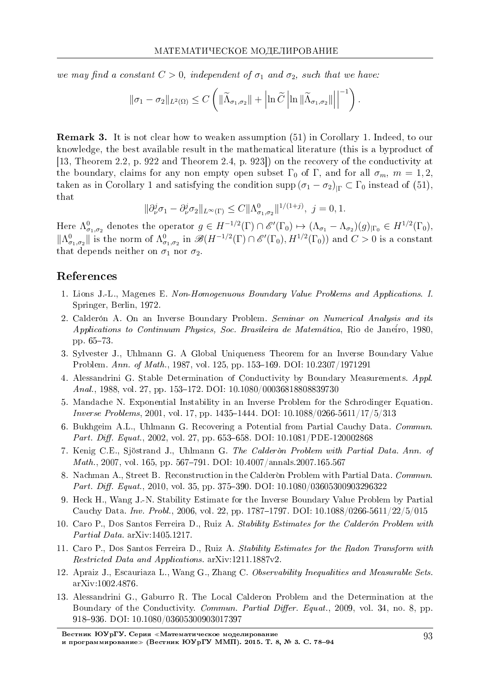we may find a constant  $C > 0$ , independent of  $\sigma_1$  and  $\sigma_2$ , such that we have:

$$
\|\sigma_1-\sigma_2\|_{L^2(\Omega)} \leq C \left( \|\widetilde{\Lambda}_{\sigma_1,\sigma_2}\| + \left|\ln \widetilde{C} \left|\ln \|\widetilde{\Lambda}_{\sigma_1,\sigma_2}\| \right|\right|^{-1} \right).
$$

Remark 3. It is not clear how to weaken assumption (51) in Corollary 1. Indeed, to our knowledge, the best available result in the mathematical literature (this is a byproduct of [13, Theorem 2.2, p. 922 and Theorem 2.4, p. 923]) on the recovery of the conductivity at the boundary, claims for any non empty open subset  $\Gamma_0$  of  $\Gamma$ , and for all  $\sigma_m$ ,  $m = 1, 2$ , taken as in Corollary 1 and satisfying the condition supp  $(\sigma_1 - \sigma_2)_{|\Gamma} \subset \Gamma_0$  instead of (51), that

$$
\|\partial_{\nu}^{j}\sigma_{1}-\partial_{\nu}^{j}\sigma_{2}\|_{L^{\infty}(\Gamma)} \leq C\|\Lambda_{\sigma_{1},\sigma_{2}}^{0}\|^{1/(1+j)}, \ j=0,1.
$$

Here  $\Lambda^0_{\sigma_1,\sigma_2}$  denotes the operator  $g \in H^{-1/2}(\Gamma) \cap \mathscr{E}'(\Gamma_0) \mapsto (\Lambda_{\sigma_1} - \Lambda_{\sigma_2})(g)_{|\Gamma_0} \in H^{1/2}(\Gamma_0)$ ,  $||\Lambda^0_{\sigma_1,\sigma_2}||$  is the norm of  $\Lambda^0_{\sigma_1,\sigma_2}$  in  $\mathscr{B}(H^{-1/2}(\Gamma) \cap \mathscr{E}'(\Gamma_0), H^{1/2}(\Gamma_0))$  and  $C > 0$  is a constant that depends neither on  $\sigma_1$  nor  $\sigma_2$ .

## References

- 1. Lions J.-L., Magenes E. Non-Homogenuous Boundary Value Problems and Applications. I. Springer, Berlin, 1972.
- 2. Calderon A. On an Inverse Boundary Problem. Seminar on Numerical Analysis and its Applications to Continuum Physics, Soc. Brasileira de Matematica, Rio de Janeiro, 1980, pp. 65-73.
- 3. Sylvester J., Uhlmann G. A Global Uniqueness Theorem for an Inverse Boundary Value Problem. Ann. of Math., 1987, vol. 125, pp. 153-169. DOI: 10.2307/1971291
- 4. Alessandrini G. Stable Determination of Conductivity by Boundary Measurements. Appl. Anal., 1988, vol. 27, pp. 153-172. DOI: 10.1080/00036818808839730
- 5. Mandache N. Exponential Instability in an Inverse Problem for the Schrodinger Equation. *Inverse Problems*, 2001, vol. 17, pp. 1435–1444. DOI:  $10.1088/0266-5611/17/5/313$
- 6. Bukhgeim A.L., Uhlmann G. Recovering a Potential from Partial Cauchy Data. Commun. Part. Diff. Equat., 2002, vol. 27, pp. 653–658. DOI:  $10.1081/PDE-120002868$
- 7. Kenig C.E., Sjöstrand J., Uhlmann G. The Calderon Problem with Partial Data. Ann. of *Math.*, 2007, vol. 165, pp. 567–791. DOI:  $10.4007/annals.2007.165.567$
- 8. Nachman A., Street B. Reconstruction in the Calderon Problem with Partial Data. Commun. Part. Diff. Equat., 2010, vol. 35, pp. 375–390. DOI:  $10.1080/03605300903296322$
- 9. Heck H., Wang J.-N. Stability Estimate for the Inverse Boundary Value Problem by Partial Cauchy Data. Inv. Probl., 2006, vol. 22, pp. 1787–1797. DOI:  $10.1088/0266-5611/22/5/015$
- 10. Caro P., Dos Santos Ferreira D., Ruiz A. Stability Estimates for the Calderón Problem with Partial Data. arXiv:1405.1217.
- 11. Caro P., Dos Santos Ferreira D., Ruiz A. Stability Estimates for the Radon Transform with Restricted Data and Applications. arXiv:1211.1887v2.
- 12. Apraiz J., Escauriaza L., Wang G., Zhang C. Observability Inequalities and Measurable Sets. arXiv:1002.4876.
- 13. Alessandrini G., Gaburro R. The Local Calderon Problem and the Determination at the Boundary of the Conductivity. Commun. Partial Differ. Equat., 2009, vol. 34, no. 8, pp. 918936. DOI: 10.1080/03605300903017397